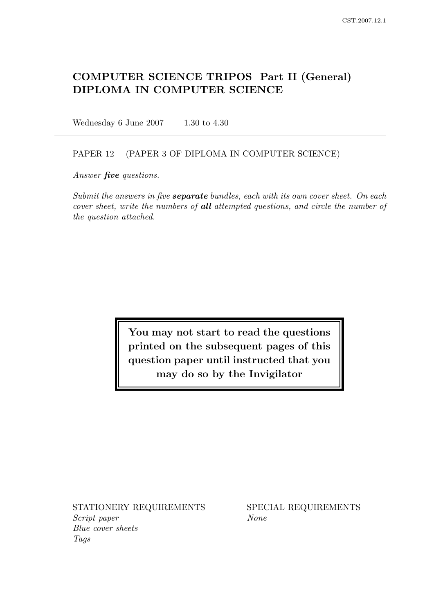# COMPUTER SCIENCE TRIPOS Part II (General) DIPLOMA IN COMPUTER SCIENCE

Wednesday 6 June 2007 1.30 to 4.30

#### PAPER 12 (PAPER 3 OF DIPLOMA IN COMPUTER SCIENCE)

Answer *five* questions.

Submit the answers in five **separate** bundles, each with its own cover sheet. On each cover sheet, write the numbers of all attempted questions, and circle the number of the question attached.

> You may not start to read the questions printed on the subsequent pages of this question paper until instructed that you may do so by the Invigilator

STATIONERY REQUIREMENTS SPECIAL REQUIREMENTS Script paper None Blue cover sheets Tags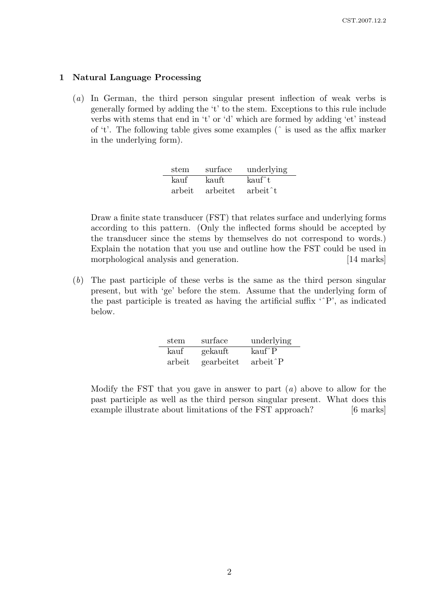#### 1 Natural Language Processing

(a) In German, the third person singular present inflection of weak verbs is generally formed by adding the 't' to the stem. Exceptions to this rule include verbs with stems that end in 't' or 'd' which are formed by adding 'et' instead of 't'. The following table gives some examples (ˆ is used as the affix marker in the underlying form).

| stem   | surface  | underlying            |
|--------|----------|-----------------------|
| kauf   | kauft    | kauf^t                |
| arbeit | arbeitet | arbeit <sup>^</sup> t |

Draw a finite state transducer (FST) that relates surface and underlying forms according to this pattern. (Only the inflected forms should be accepted by the transducer since the stems by themselves do not correspond to words.) Explain the notation that you use and outline how the FST could be used in morphological analysis and generation. [14 marks]

(b) The past participle of these verbs is the same as the third person singular present, but with 'ge' before the stem. Assume that the underlying form of the past participle is treated as having the artificial suffix 'ˆP', as indicated below.

| stem   | surface    | underlying                             |
|--------|------------|----------------------------------------|
| kauf   | gekauft    | kauf <sup>^</sup> P                    |
| arbeit | gearbeitet | arbeit <sup><math>\hat{P}</math></sup> |

Modify the FST that you gave in answer to part  $(a)$  above to allow for the past participle as well as the third person singular present. What does this example illustrate about limitations of the FST approach? [6 marks]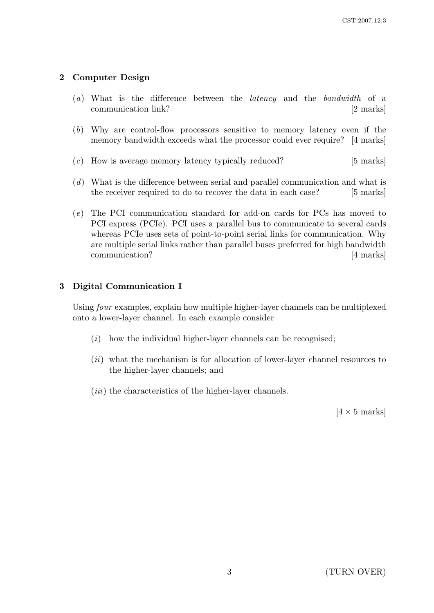# 2 Computer Design

- (a) What is the difference between the latency and the bandwidth of a communication link? [2 marks]
- (b) Why are control-flow processors sensitive to memory latency even if the memory bandwidth exceeds what the processor could ever require? [4 marks]
- (c) How is average memory latency typically reduced? [5 marks]
- (d) What is the difference between serial and parallel communication and what is the receiver required to do to recover the data in each case? [5 marks]
- (e) The PCI communication standard for add-on cards for PCs has moved to PCI express (PCIe). PCI uses a parallel bus to communicate to several cards whereas PCIe uses sets of point-to-point serial links for communication. Why are multiple serial links rather than parallel buses preferred for high bandwidth communication? [4 marks]

## 3 Digital Communication I

Using four examples, explain how multiple higher-layer channels can be multiplexed onto a lower-layer channel. In each example consider

- $(i)$  how the individual higher-layer channels can be recognised;
- $(ii)$  what the mechanism is for allocation of lower-layer channel resources to the higher-layer channels; and
- $(iii)$  the characteristics of the higher-layer channels.

 $[4 \times 5 \text{ marks}]$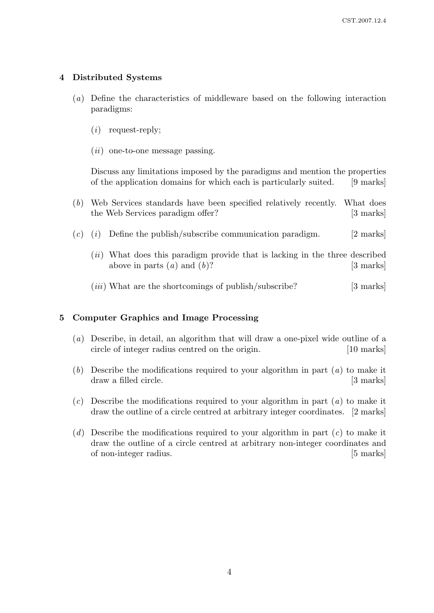## 4 Distributed Systems

- (a) Define the characteristics of middleware based on the following interaction paradigms:
	- $(i)$  request-reply;
	- $(ii)$  one-to-one message passing.

Discuss any limitations imposed by the paradigms and mention the properties of the application domains for which each is particularly suited. [9 marks]

- (b) Web Services standards have been specified relatively recently. What does the Web Services paradigm offer? [3 marks]
- $(c)$  (i) Define the publish/subscribe communication paradigm. [2 marks]
	- (ii) What does this paradigm provide that is lacking in the three described above in parts  $(a)$  and  $(b)$ ? [3 marks]
	- $(iii)$  What are the shortcomings of publish/subscribe? [3 marks]

### 5 Computer Graphics and Image Processing

- (a) Describe, in detail, an algorithm that will draw a one-pixel wide outline of a circle of integer radius centred on the origin. [10 marks]
- (b) Describe the modifications required to your algorithm in part  $(a)$  to make it draw a filled circle. [3 marks]
- $(c)$  Describe the modifications required to your algorithm in part  $(a)$  to make it draw the outline of a circle centred at arbitrary integer coordinates. [2 marks]
- (d) Describe the modifications required to your algorithm in part  $(c)$  to make it draw the outline of a circle centred at arbitrary non-integer coordinates and of non-integer radius. [5 marks]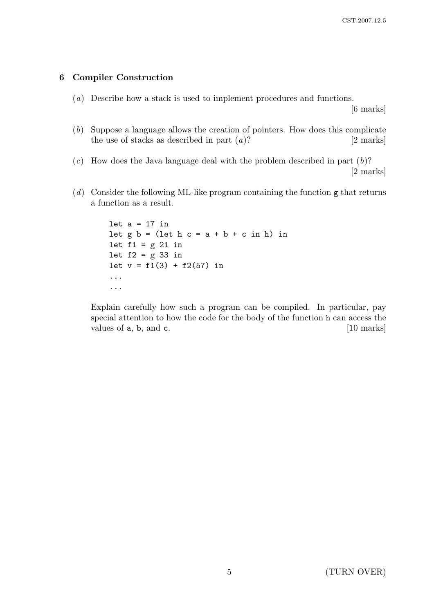## 6 Compiler Construction

(a) Describe how a stack is used to implement procedures and functions.

[6 marks]

- (b) Suppose a language allows the creation of pointers. How does this complicate the use of stacks as described in part  $(a)$ ? [2 marks]
- $(c)$  How does the Java language deal with the problem described in part  $(b)$ ? [2 marks]
- (d) Consider the following ML-like program containing the function g that returns a function as a result.

```
let a = 17 in
let g b = (let h c = a + b + c in h) inlet f1 = g 21 in
let f2 = g 33 in
let v = f1(3) + f2(57) in
...
...
```
Explain carefully how such a program can be compiled. In particular, pay special attention to how the code for the body of the function h can access the values of **a**, **b**, and **c**. [10 marks]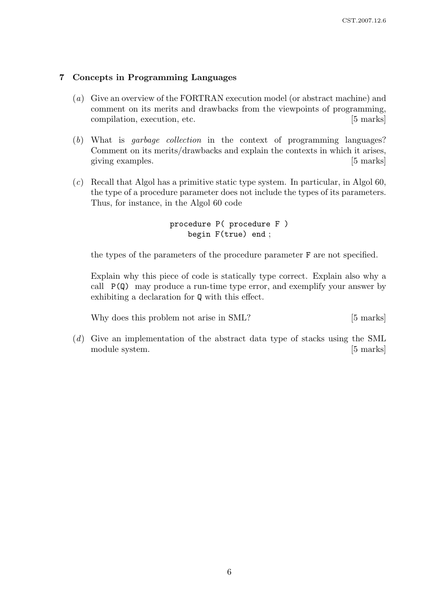### 7 Concepts in Programming Languages

- (a) Give an overview of the FORTRAN execution model (or abstract machine) and comment on its merits and drawbacks from the viewpoints of programming, compilation, execution, etc. [5 marks]
- (b) What is garbage collection in the context of programming languages? Comment on its merits/drawbacks and explain the contexts in which it arises, giving examples. [5] marks]
- (c) Recall that Algol has a primitive static type system. In particular, in Algol 60, the type of a procedure parameter does not include the types of its parameters. Thus, for instance, in the Algol 60 code

```
procedure P( procedure F )
    begin F(true) end ;
```
the types of the parameters of the procedure parameter F are not specified.

Explain why this piece of code is statically type correct. Explain also why a call  $P(Q)$  may produce a run-time type error, and exemplify your answer by exhibiting a declaration for Q with this effect.

Why does this problem not arise in SML? [5 marks]

(d) Give an implementation of the abstract data type of stacks using the SML module system. [5 marks]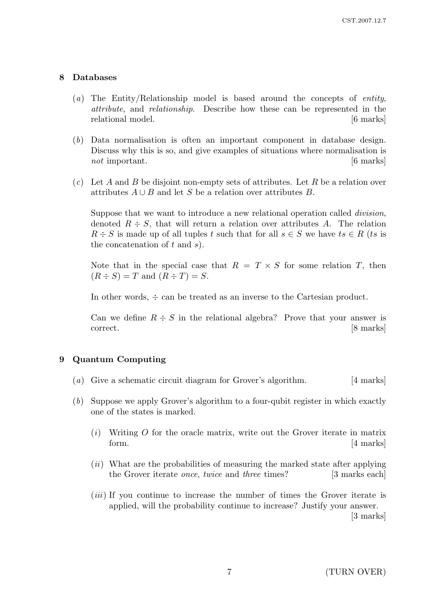#### 8 Databases

- (a) The Entity/Relationship model is based around the concepts of *entity*, attribute, and relationship. Describe how these can be represented in the relational model.  $[6 \text{ marks}]$
- (b) Data normalisation is often an important component in database design. Discuss why this is so, and give examples of situations where normalisation is not important.  $\begin{bmatrix} 6 \text{ marks} \end{bmatrix}$
- $(c)$  Let A and B be disjoint non-empty sets of attributes. Let R be a relation over attributes  $A \cup B$  and let S be a relation over attributes B.

Suppose that we want to introduce a new relational operation called *division*, denoted  $R \div S$ , that will return a relation over attributes A. The relation  $R \div S$  is made up of all tuples t such that for all  $s \in S$  we have  $ts \in R$  (ts is the concatenation of  $t$  and  $s$ ).

Note that in the special case that  $R = T \times S$  for some relation T, then  $(R \div S) = T$  and  $(R \div T) = S$ .

In other words,  $\div$  can be treated as an inverse to the Cartesian product.

Can we define  $R \div S$  in the relational algebra? Prove that your answer is correct. [8 marks]

#### 9 Quantum Computing

- (a) Give a schematic circuit diagram for Grover's algorithm. [4 marks]
- (b) Suppose we apply Grover's algorithm to a four-qubit register in which exactly one of the states is marked.
	- $(i)$  Writing O for the oracle matrix, write out the Grover iterate in matrix form.  $[4 \text{ marks}]$
	- (*ii*) What are the probabilities of measuring the marked state after applying the Grover iterate *once*, *twice* and *three* times? [3 marks each]
	- (*iii*) If you continue to increase the number of times the Grover iterate is applied, will the probability continue to increase? Justify your answer.

[3 marks]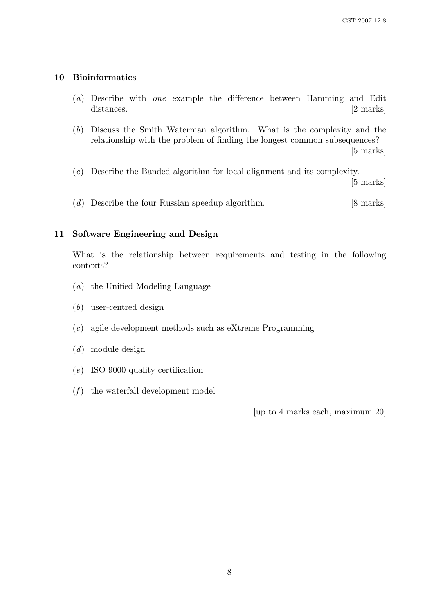# 10 Bioinformatics

- (a) Describe with one example the difference between Hamming and Edit distances. [2 marks]
- (b) Discuss the Smith–Waterman algorithm. What is the complexity and the relationship with the problem of finding the longest common subsequences? [5 marks]
- (c) Describe the Banded algorithm for local alignment and its complexity.

[5 marks]

(d) Describe the four Russian speedup algorithm. [8 marks]

# 11 Software Engineering and Design

What is the relationship between requirements and testing in the following contexts?

- (a) the Unified Modeling Language
- (b) user-centred design
- (c) agile development methods such as eXtreme Programming
- (d) module design
- (e) ISO 9000 quality certification
- $(f)$  the waterfall development model

[up to 4 marks each, maximum 20]